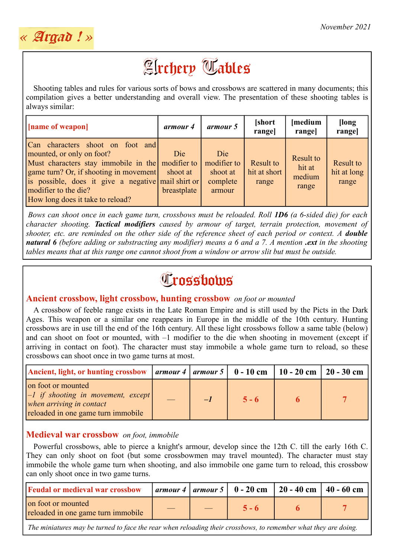

# **Archery Tables**

Shooting tables and rules for various sorts of bows and crossbows are scattered in many documents; this compilation gives a better understanding and overall view. The presentation of these shooting tables is always similar:

| [name of weapon]                                                                                                                                                                                                                                                              | armour 4                       | armour 5                                             | [short]<br>range]                  | [medium<br>rangel                      | [long]<br>range]                  |
|-------------------------------------------------------------------------------------------------------------------------------------------------------------------------------------------------------------------------------------------------------------------------------|--------------------------------|------------------------------------------------------|------------------------------------|----------------------------------------|-----------------------------------|
| Can characters shoot on foot and<br>mounted, or only on foot?<br>Must characters stay immobile in the modifier to<br>game turn? Or, if shooting in movement<br>is possible, does it give a negative mail shirt or<br>modifier to the die?<br>How long does it take to reload? | Die<br>shoot at<br>breastplate | Die<br>modifier to<br>shoot at<br>complete<br>armour | Result to<br>hit at short<br>range | Result to<br>hit at<br>medium<br>range | Result to<br>hit at long<br>range |

*Bows can shoot once in each game turn, crossbows must be reloaded. Roll 1D6 (a 6-sided die) for each character shooting. Tactical modifiers caused by armour of target, terrain protection, movement of shooter, etc. are reminded on the other side of the reference sheet of each period or context. A double natural 6 (before adding or substracting any modifier) means a 6 and a 7. A mention <i>.ext* in the shooting *tables means that at this range one cannot shoot from a window or arrow slit but must be outside.*

# **Trossbows**

# **Ancient crossbow, light crossbow, hunting crossbow** *on foot or mounted*

A crossbow of feeble range exists in the Late Roman Empire and is still used by the Picts in the Dark Ages. This weapon or a similar one reappears in Europe in the middle of the 10th century. Hunting crossbows are in use till the end of the 16th century. All these light crossbows follow a same table (below) and can shoot on foot or mounted, with –1 modifier to the die when shooting in movement (except if arriving in contact on foot). The character must stay immobile a whole game turn to reload, so these crossbows can shoot once in two game turns at most.

| Ancient, light, or hunting crossbow   armour 4   armour 5   0 - 10 cm   10 - 20 cm   20 - 30 cm                                            |  |         |  |
|--------------------------------------------------------------------------------------------------------------------------------------------|--|---------|--|
| on foot or mounted<br>$\vert -1 \rangle$ if shooting in movement, except<br>when arriving in contact<br>reloaded in one game turn immobile |  | $5 - 6$ |  |

# **Medieval war crossbow** *on foot, immobile*

Powerful crossbows, able to pierce a knight's armour, develop since the 12th C. till the early 16th C. They can only shoot on foot (but some crossbowmen may travel mounted). The character must stay immobile the whole game turn when shooting, and also immobile one game turn to reload, this crossbow can only shoot once in two game turns.

| <b>Feudal or medieval war crossbow</b>                   |  |         | armour 4   armour 5   0 - 20 cm   20 - 40 cm   40 - 60 cm |  |
|----------------------------------------------------------|--|---------|-----------------------------------------------------------|--|
| on foot or mounted<br>reloaded in one game turn immobile |  | $5 - 6$ |                                                           |  |

*The miniatures may be turned to face the rear when reloading their crossbows, to remember what they are doing.*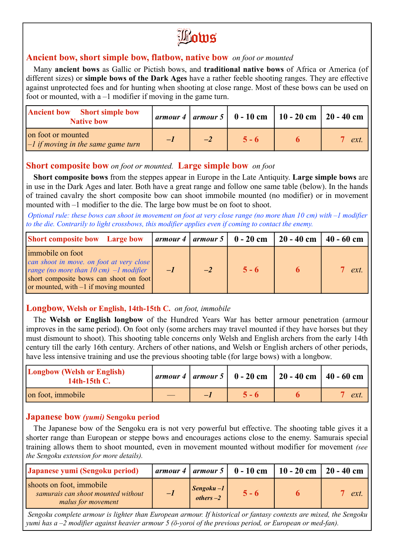Bows

#### **Ancient bow, short simple bow, flatbow, native bow** *on foot or mounted*

Many **ancient bows** as Gallic or Pictish bows, and **traditional native bows** of Africa or America (of different sizes) or **simple bows of the Dark Ages** have a rather feeble shooting ranges. They are effective against unprotected foes and for hunting when shooting at close range. Most of these bows can be used on foot or mounted, with a –1 modifier if moving in the game turn.

| <b>Ancient bow</b> Short simple bow<br><b>Native bow</b>   |  |         | armour 4   armour 5   $0 - 10$ cm   $10 - 20$ cm   $20 - 40$ cm |     |
|------------------------------------------------------------|--|---------|-----------------------------------------------------------------|-----|
| on foot or mounted<br>$-1$ if moving in the same game turn |  | $5 - 6$ |                                                                 | ext |

#### **Short composite bow** *on foot or mounted.* **Large simple bow** *on foot*

**Short composite bows** from the steppes appear in Europe in the Late Antiquity. **Large simple bows** are in use in the Dark Ages and later. Both have a great range and follow one same table (below). In the hands of trained cavalry the short composite bow can shoot immobile mounted (no modifier) or in movement mounted with –1 modifier to the die. The large bow must be on foot to shoot.

*Optional rule: these bows can shoot in movement on foot at very close range (no more than 10 cm) with –1 modifier to the die. Contrarily to light crossbows, this modifier applies even if coming to contact the enemy.*

| <b>Short composite bow</b> Large bow                                                                                                                                                                     |      |      | $\vert$ armour 4 $\vert$ armour 5 $\vert$ 0 - 20 cm | $20 - 40$ cm   $40 - 60$ cm |             |
|----------------------------------------------------------------------------------------------------------------------------------------------------------------------------------------------------------|------|------|-----------------------------------------------------|-----------------------------|-------------|
| immobile on foot<br>can shoot in move, on foot at very close<br>range (no more than $10 \text{ cm}$ ) $-1$ modifier<br>short composite bows can shoot on foot<br>or mounted, with $-1$ if moving mounted | $-I$ | $-2$ | $5 - 6$                                             |                             | $7 \; ext.$ |

#### **Longbow, Welsh or English, 14th-15th C.** *on foot, immobile*

The **Welsh or English longbow** of the Hundred Years War has better armour penetration (armour improves in the same period). On foot only (some archers may travel mounted if they have horses but they must dismount to shoot). This shooting table concerns only Welsh and English archers from the early 14th century till the early 16th century. Archers of other nations, and Welsh or English archers of other periods, have less intensive training and use the previous shooting table (for large bows) with a longbow.

| <b>Longbow (Welsh or English)</b><br>14th-15th C. |          |         | armour 4   armour 5   $0 - 20$ cm   $20 - 40$ cm   $40 - 60$ cm |     |
|---------------------------------------------------|----------|---------|-----------------------------------------------------------------|-----|
| on foot, immobile                                 | <u>—</u> | $5 - 6$ |                                                                 | ext |

#### **Japanese bow** *(yumi)* **Sengoku period**

The Japanese bow of the Sengoku era is not very powerful but effective. The shooting table gives it a shorter range than European or steppe bows and encourages actions close to the enemy. Samurais special training allows them to shoot mounted, even in movement mounted without modifier for movement *(see the Sengoku extension for more details).*

| Japanese yumi (Sengoku period)                                                       |      |                                       | armour 4   armour 5   $\,0$ - 10 cm | 10 - 20 cm   20 - 40 cm |     |
|--------------------------------------------------------------------------------------|------|---------------------------------------|-------------------------------------|-------------------------|-----|
| shoots on foot, immobile<br>samurais can shoot mounted without<br>malus for movement | $-I$ | $\textit{Sengoku} - 1$<br>others $-2$ | $5 - 6$                             |                         | ext |

*Sengoku complete armour is lighter than European armour. If historical or fantasy contexts are mixed, the Sengoku yumi has a –2 modifier against heavier armour 5 (ō-yoroi of the previous period, or European or med-fan).*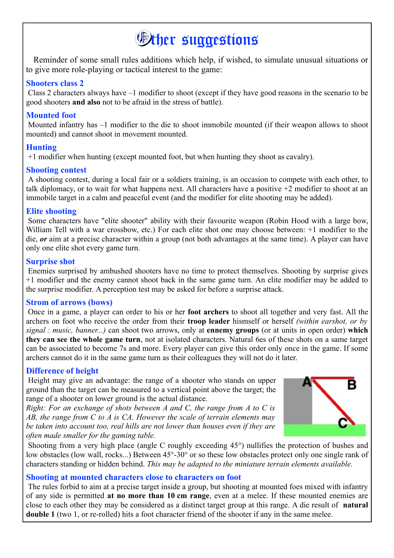# *<u>Other suggestions</u>*

Reminder of some small rules additions which help, if wished, to simulate unusual situations or to give more role-playing or tactical interest to the game:

#### **Shooters class 2**

Class 2 characters always have –1 modifier to shoot (except if they have good reasons in the scenario to be good shooters **and also** not to be afraid in the stress of battle).

#### **Mounted foot**

Mounted infantry has –1 modifier to the die to shoot immobile mounted (if their weapon allows to shoot mounted) and cannot shoot in movement mounted.

# **Hunting**

+1 modifier when hunting (except mounted foot, but when hunting they shoot as cavalry).

# **Shooting contest**

A shooting contest, during a local fair or a soldiers training, is an occasion to compete with each other, to talk diplomacy, or to wait for what happens next. All characters have a positive +2 modifier to shoot at an immobile target in a calm and peaceful event (and the modifier for elite shooting may be added).

#### **Elite shooting**

Some characters have "elite shooter" ability with their favourite weapon (Robin Hood with a large bow, William Tell with a war crossbow, etc.) For each elite shot one may choose between: +1 modifier to the die, *or* aim at a precise character within a group (not both advantages at the same time). A player can have only one elite shot every game turn.

# **Surprise shot**

Enemies surprised by ambushed shooters have no time to protect themselves. Shooting by surprise gives +1 modifier and the enemy cannot shoot back in the same game turn. An elite modifier may be added to the surprise modifier. A perception test may be asked for before a surprise attack.

#### **Strom of arrows (bows)**

Once in a game, a player can order to his or her **foot archers** to shoot all together and very fast. All the archers on foot who receive the order from their **troop leader** hismself or herself *(within earshot, or by signal : music, banner...)* can shoot two arrows, only at **ennemy groups** (or at units in open order) **which they can see the whole game turn**, not at isolated characters. Natural 6es of these shots on a same target can be associated to become 7s and more. Every player can give this order only once in the game. If some archers cannot do it in the same game turn as their colleagues they will not do it later.

# **Difference of height**

Height may give an advantage: the range of a shooter who stands on upper ground than the target can be measured to a vertical point above the target; the range of a shooter on lower ground is the actual distance.

*Right: For an exchange of shots between A and C, the range from A to C is AB, the range from C to A is CA. However the scale of terrain elements may be taken into account too, real hills are not lower than houses even if they are often made smaller for the gaming table.*



Shooting from a very high place (angle C roughly exceeding 45°) nullifies the protection of bushes and low obstacles (low wall, rocks...) Between 45°-30° or so these low obstacles protect only one single rank of characters standing or hidden behind. *This may be adapted to the miniature terrain elements available.*

#### **Shooting at mounted characters close to characters on foot**

The rules forbid to aim at a precise target inside a group, but shooting at mounted foes mixed with infantry of any side is permitted **at no more than 10 cm range**, even at a melee. If these mounted enemies are close to each other they may be considered as a distinct target group at this range. A die result of **natural double 1** (two 1, or re-rolled) hits a foot character friend of the shooter if any in the same melee.